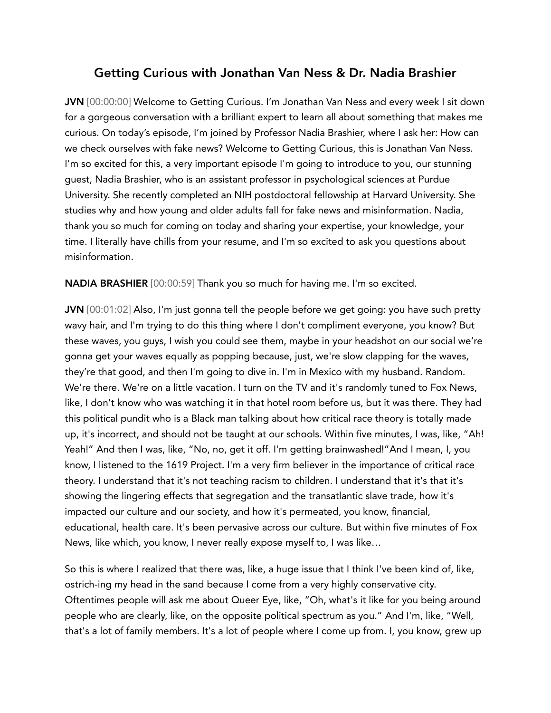## Getting Curious with Jonathan Van Ness & Dr. Nadia Brashier

JVN [00:00:00] Welcome to Getting Curious. I'm Jonathan Van Ness and every week I sit down for a gorgeous conversation with a brilliant expert to learn all about something that makes me curious. On today's episode, I'm joined by Professor Nadia Brashier, where I ask her: How can we check ourselves with fake news? Welcome to Getting Curious, this is Jonathan Van Ness. I'm so excited for this, a very important episode I'm going to introduce to you, our stunning guest, Nadia Brashier, who is an assistant professor in psychological sciences at Purdue University. She recently completed an NIH postdoctoral fellowship at Harvard University. She studies why and how young and older adults fall for fake news and misinformation. Nadia, thank you so much for coming on today and sharing your expertise, your knowledge, your time. I literally have chills from your resume, and I'm so excited to ask you questions about misinformation.

NADIA BRASHIER [00:00:59] Thank you so much for having me. I'm so excited.

JVN [00:01:02] Also, I'm just gonna tell the people before we get going: you have such pretty wavy hair, and I'm trying to do this thing where I don't compliment everyone, you know? But these waves, you guys, I wish you could see them, maybe in your headshot on our social we're gonna get your waves equally as popping because, just, we're slow clapping for the waves, they're that good, and then I'm going to dive in. I'm in Mexico with my husband. Random. We're there. We're on a little vacation. I turn on the TV and it's randomly tuned to Fox News, like, I don't know who was watching it in that hotel room before us, but it was there. They had this political pundit who is a Black man talking about how critical race theory is totally made up, it's incorrect, and should not be taught at our schools. Within five minutes, I was, like, "Ah! Yeah!" And then I was, like, "No, no, get it off. I'm getting brainwashed!"And I mean, I, you know, I listened to the 1619 Project. I'm a very firm believer in the importance of critical race theory. I understand that it's not teaching racism to children. I understand that it's that it's showing the lingering effects that segregation and the transatlantic slave trade, how it's impacted our culture and our society, and how it's permeated, you know, financial, educational, health care. It's been pervasive across our culture. But within five minutes of Fox News, like which, you know, I never really expose myself to, I was like…

So this is where I realized that there was, like, a huge issue that I think I've been kind of, like, ostrich-ing my head in the sand because I come from a very highly conservative city. Oftentimes people will ask me about Queer Eye, like, "Oh, what's it like for you being around people who are clearly, like, on the opposite political spectrum as you." And I'm, like, "Well, that's a lot of family members. It's a lot of people where I come up from. I, you know, grew up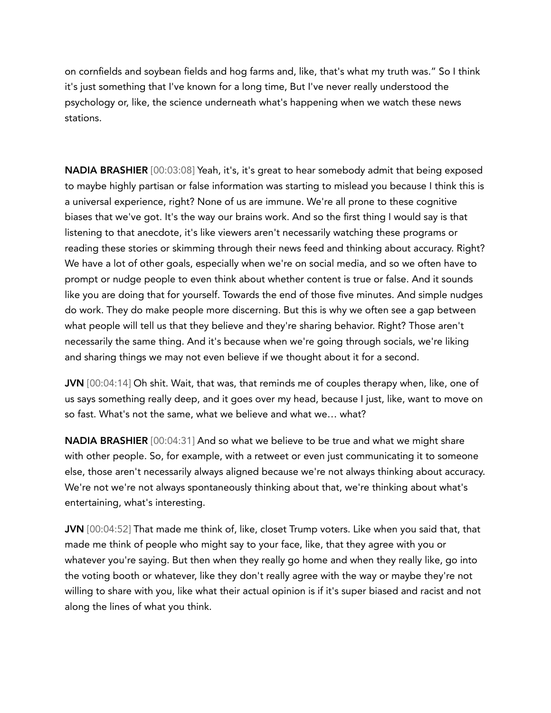on cornfields and soybean fields and hog farms and, like, that's what my truth was." So I think it's just something that I've known for a long time, But I've never really understood the psychology or, like, the science underneath what's happening when we watch these news stations.

NADIA BRASHIER [00:03:08] Yeah, it's, it's great to hear somebody admit that being exposed to maybe highly partisan or false information was starting to mislead you because I think this is a universal experience, right? None of us are immune. We're all prone to these cognitive biases that we've got. It's the way our brains work. And so the first thing I would say is that listening to that anecdote, it's like viewers aren't necessarily watching these programs or reading these stories or skimming through their news feed and thinking about accuracy. Right? We have a lot of other goals, especially when we're on social media, and so we often have to prompt or nudge people to even think about whether content is true or false. And it sounds like you are doing that for yourself. Towards the end of those five minutes. And simple nudges do work. They do make people more discerning. But this is why we often see a gap between what people will tell us that they believe and they're sharing behavior. Right? Those aren't necessarily the same thing. And it's because when we're going through socials, we're liking and sharing things we may not even believe if we thought about it for a second.

JVN [00:04:14] Oh shit. Wait, that was, that reminds me of couples therapy when, like, one of us says something really deep, and it goes over my head, because I just, like, want to move on so fast. What's not the same, what we believe and what we… what?

NADIA BRASHIER [00:04:31] And so what we believe to be true and what we might share with other people. So, for example, with a retweet or even just communicating it to someone else, those aren't necessarily always aligned because we're not always thinking about accuracy. We're not we're not always spontaneously thinking about that, we're thinking about what's entertaining, what's interesting.

JVN [00:04:52] That made me think of, like, closet Trump voters. Like when you said that, that made me think of people who might say to your face, like, that they agree with you or whatever you're saying. But then when they really go home and when they really like, go into the voting booth or whatever, like they don't really agree with the way or maybe they're not willing to share with you, like what their actual opinion is if it's super biased and racist and not along the lines of what you think.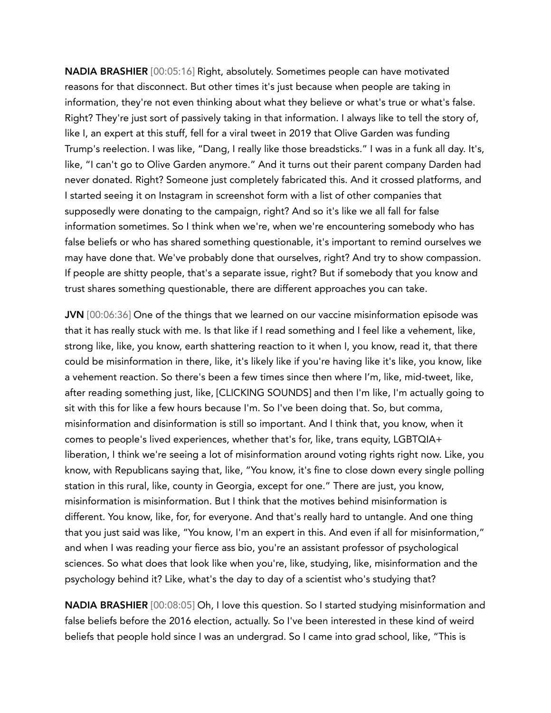NADIA BRASHIER [00:05:16] Right, absolutely. Sometimes people can have motivated reasons for that disconnect. But other times it's just because when people are taking in information, they're not even thinking about what they believe or what's true or what's false. Right? They're just sort of passively taking in that information. I always like to tell the story of, like I, an expert at this stuff, fell for a viral tweet in 2019 that Olive Garden was funding Trump's reelection. I was like, "Dang, I really like those breadsticks." I was in a funk all day. It's, like, "I can't go to Olive Garden anymore." And it turns out their parent company Darden had never donated. Right? Someone just completely fabricated this. And it crossed platforms, and I started seeing it on Instagram in screenshot form with a list of other companies that supposedly were donating to the campaign, right? And so it's like we all fall for false information sometimes. So I think when we're, when we're encountering somebody who has false beliefs or who has shared something questionable, it's important to remind ourselves we may have done that. We've probably done that ourselves, right? And try to show compassion. If people are shitty people, that's a separate issue, right? But if somebody that you know and trust shares something questionable, there are different approaches you can take.

JVN [00:06:36] One of the things that we learned on our vaccine misinformation episode was that it has really stuck with me. Is that like if I read something and I feel like a vehement, like, strong like, like, you know, earth shattering reaction to it when I, you know, read it, that there could be misinformation in there, like, it's likely like if you're having like it's like, you know, like a vehement reaction. So there's been a few times since then where I'm, like, mid-tweet, like, after reading something just, like, [CLICKING SOUNDS] and then I'm like, I'm actually going to sit with this for like a few hours because I'm. So I've been doing that. So, but comma, misinformation and disinformation is still so important. And I think that, you know, when it comes to people's lived experiences, whether that's for, like, trans equity, LGBTQIA+ liberation, I think we're seeing a lot of misinformation around voting rights right now. Like, you know, with Republicans saying that, like, "You know, it's fine to close down every single polling station in this rural, like, county in Georgia, except for one." There are just, you know, misinformation is misinformation. But I think that the motives behind misinformation is different. You know, like, for, for everyone. And that's really hard to untangle. And one thing that you just said was like, "You know, I'm an expert in this. And even if all for misinformation," and when I was reading your fierce ass bio, you're an assistant professor of psychological sciences. So what does that look like when you're, like, studying, like, misinformation and the psychology behind it? Like, what's the day to day of a scientist who's studying that?

NADIA BRASHIER [00:08:05] Oh, I love this question. So I started studying misinformation and false beliefs before the 2016 election, actually. So I've been interested in these kind of weird beliefs that people hold since I was an undergrad. So I came into grad school, like, "This is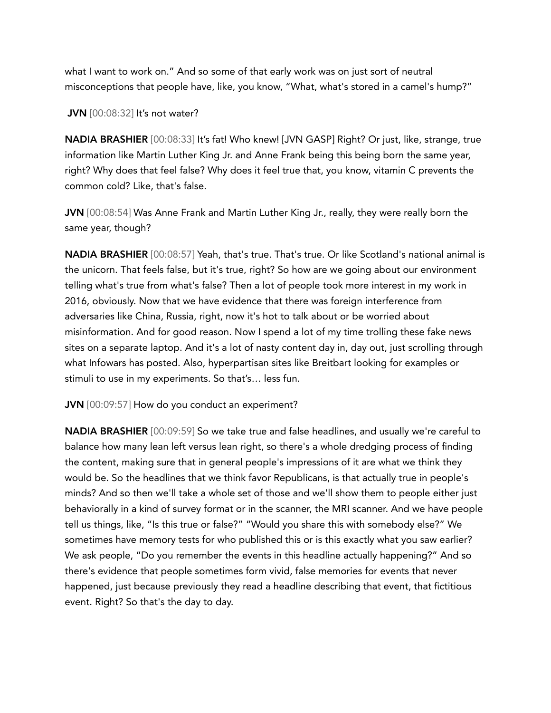what I want to work on." And so some of that early work was on just sort of neutral misconceptions that people have, like, you know, "What, what's stored in a camel's hump?"

**JVN** [00:08:32] It's not water?

NADIA BRASHIER [00:08:33] It's fat! Who knew! [JVN GASP] Right? Or just, like, strange, true information like Martin Luther King Jr. and Anne Frank being this being born the same year, right? Why does that feel false? Why does it feel true that, you know, vitamin C prevents the common cold? Like, that's false.

JVN [00:08:54] Was Anne Frank and Martin Luther King Jr., really, they were really born the same year, though?

NADIA BRASHIER [00:08:57] Yeah, that's true. That's true. Or like Scotland's national animal is the unicorn. That feels false, but it's true, right? So how are we going about our environment telling what's true from what's false? Then a lot of people took more interest in my work in 2016, obviously. Now that we have evidence that there was foreign interference from adversaries like China, Russia, right, now it's hot to talk about or be worried about misinformation. And for good reason. Now I spend a lot of my time trolling these fake news sites on a separate laptop. And it's a lot of nasty content day in, day out, just scrolling through what Infowars has posted. Also, hyperpartisan sites like Breitbart looking for examples or stimuli to use in my experiments. So that's… less fun.

JVN [00:09:57] How do you conduct an experiment?

NADIA BRASHIER [00:09:59] So we take true and false headlines, and usually we're careful to balance how many lean left versus lean right, so there's a whole dredging process of finding the content, making sure that in general people's impressions of it are what we think they would be. So the headlines that we think favor Republicans, is that actually true in people's minds? And so then we'll take a whole set of those and we'll show them to people either just behaviorally in a kind of survey format or in the scanner, the MRI scanner. And we have people tell us things, like, "Is this true or false?" "Would you share this with somebody else?" We sometimes have memory tests for who published this or is this exactly what you saw earlier? We ask people, "Do you remember the events in this headline actually happening?" And so there's evidence that people sometimes form vivid, false memories for events that never happened, just because previously they read a headline describing that event, that fictitious event. Right? So that's the day to day.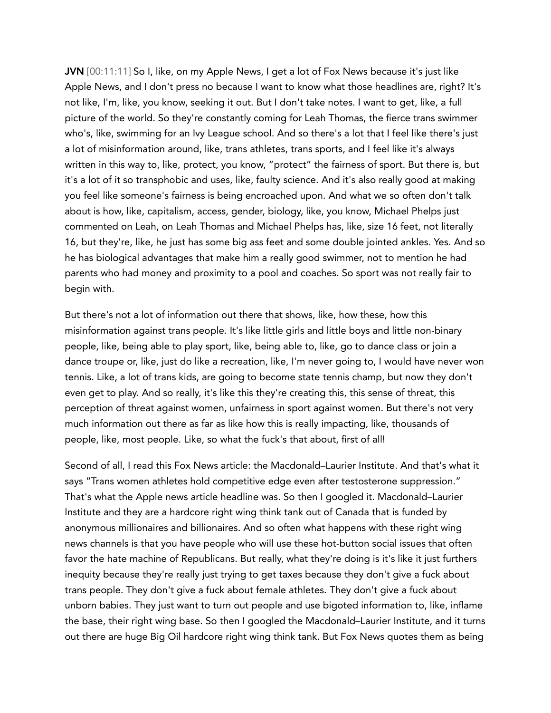JVN [00:11:11] So I, like, on my Apple News, I get a lot of Fox News because it's just like Apple News, and I don't press no because I want to know what those headlines are, right? It's not like, I'm, like, you know, seeking it out. But I don't take notes. I want to get, like, a full picture of the world. So they're constantly coming for Leah Thomas, the fierce trans swimmer who's, like, swimming for an Ivy League school. And so there's a lot that I feel like there's just a lot of misinformation around, like, trans athletes, trans sports, and I feel like it's always written in this way to, like, protect, you know, "protect" the fairness of sport. But there is, but it's a lot of it so transphobic and uses, like, faulty science. And it's also really good at making you feel like someone's fairness is being encroached upon. And what we so often don't talk about is how, like, capitalism, access, gender, biology, like, you know, Michael Phelps just commented on Leah, on Leah Thomas and Michael Phelps has, like, size 16 feet, not literally 16, but they're, like, he just has some big ass feet and some double jointed ankles. Yes. And so he has biological advantages that make him a really good swimmer, not to mention he had parents who had money and proximity to a pool and coaches. So sport was not really fair to begin with.

But there's not a lot of information out there that shows, like, how these, how this misinformation against trans people. It's like little girls and little boys and little non-binary people, like, being able to play sport, like, being able to, like, go to dance class or join a dance troupe or, like, just do like a recreation, like, I'm never going to, I would have never won tennis. Like, a lot of trans kids, are going to become state tennis champ, but now they don't even get to play. And so really, it's like this they're creating this, this sense of threat, this perception of threat against women, unfairness in sport against women. But there's not very much information out there as far as like how this is really impacting, like, thousands of people, like, most people. Like, so what the fuck's that about, first of all!

Second of all, I read this Fox News article: the Macdonald–Laurier Institute. And that's what it says "Trans women athletes hold competitive edge even after testosterone suppression." That's what the Apple news article headline was. So then I googled it. Macdonald–Laurier Institute and they are a hardcore right wing think tank out of Canada that is funded by anonymous millionaires and billionaires. And so often what happens with these right wing news channels is that you have people who will use these hot-button social issues that often favor the hate machine of Republicans. But really, what they're doing is it's like it just furthers inequity because they're really just trying to get taxes because they don't give a fuck about trans people. They don't give a fuck about female athletes. They don't give a fuck about unborn babies. They just want to turn out people and use bigoted information to, like, inflame the base, their right wing base. So then I googled the Macdonald–Laurier Institute, and it turns out there are huge Big Oil hardcore right wing think tank. But Fox News quotes them as being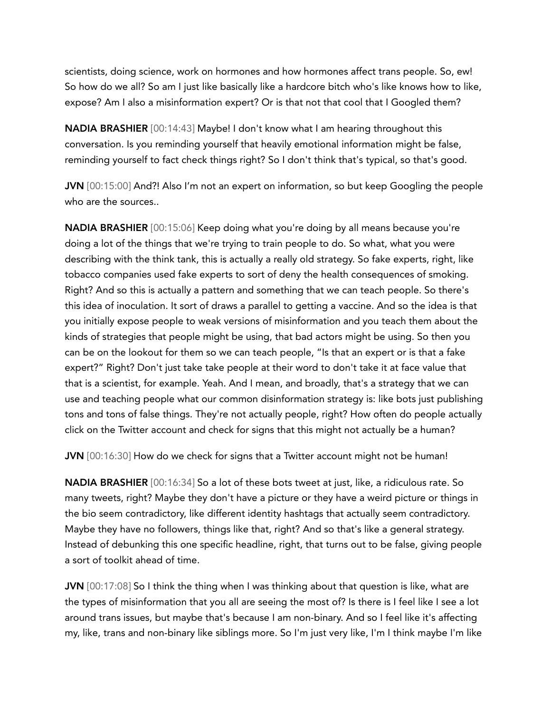scientists, doing science, work on hormones and how hormones affect trans people. So, ew! So how do we all? So am I just like basically like a hardcore bitch who's like knows how to like, expose? Am I also a misinformation expert? Or is that not that cool that I Googled them?

NADIA BRASHIER [00:14:43] Maybe! I don't know what I am hearing throughout this conversation. Is you reminding yourself that heavily emotional information might be false, reminding yourself to fact check things right? So I don't think that's typical, so that's good.

JVN [00:15:00] And?! Also I'm not an expert on information, so but keep Googling the people who are the sources..

NADIA BRASHIER [00:15:06] Keep doing what you're doing by all means because you're doing a lot of the things that we're trying to train people to do. So what, what you were describing with the think tank, this is actually a really old strategy. So fake experts, right, like tobacco companies used fake experts to sort of deny the health consequences of smoking. Right? And so this is actually a pattern and something that we can teach people. So there's this idea of inoculation. It sort of draws a parallel to getting a vaccine. And so the idea is that you initially expose people to weak versions of misinformation and you teach them about the kinds of strategies that people might be using, that bad actors might be using. So then you can be on the lookout for them so we can teach people, "Is that an expert or is that a fake expert?" Right? Don't just take take people at their word to don't take it at face value that that is a scientist, for example. Yeah. And I mean, and broadly, that's a strategy that we can use and teaching people what our common disinformation strategy is: like bots just publishing tons and tons of false things. They're not actually people, right? How often do people actually click on the Twitter account and check for signs that this might not actually be a human?

JVN [00:16:30] How do we check for signs that a Twitter account might not be human!

NADIA BRASHIER [00:16:34] So a lot of these bots tweet at just, like, a ridiculous rate. So many tweets, right? Maybe they don't have a picture or they have a weird picture or things in the bio seem contradictory, like different identity hashtags that actually seem contradictory. Maybe they have no followers, things like that, right? And so that's like a general strategy. Instead of debunking this one specific headline, right, that turns out to be false, giving people a sort of toolkit ahead of time.

JVN [00:17:08] So I think the thing when I was thinking about that question is like, what are the types of misinformation that you all are seeing the most of? Is there is I feel like I see a lot around trans issues, but maybe that's because I am non-binary. And so I feel like it's affecting my, like, trans and non-binary like siblings more. So I'm just very like, I'm I think maybe I'm like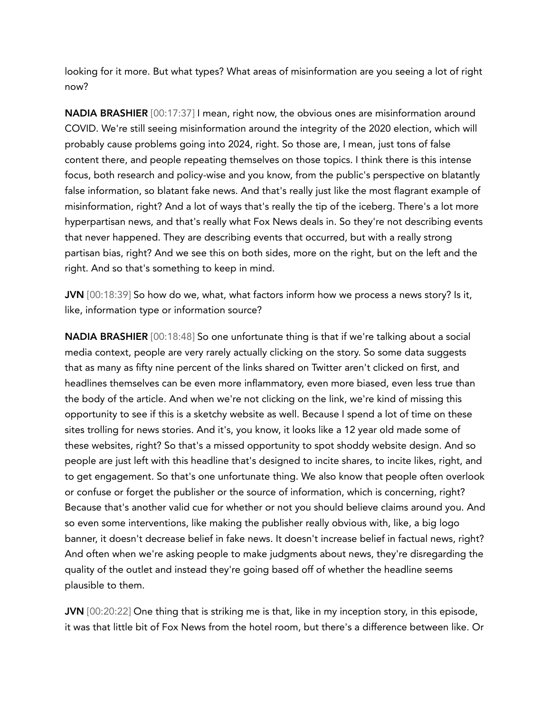looking for it more. But what types? What areas of misinformation are you seeing a lot of right now?

NADIA BRASHIER [00:17:37] I mean, right now, the obvious ones are misinformation around COVID. We're still seeing misinformation around the integrity of the 2020 election, which will probably cause problems going into 2024, right. So those are, I mean, just tons of false content there, and people repeating themselves on those topics. I think there is this intense focus, both research and policy-wise and you know, from the public's perspective on blatantly false information, so blatant fake news. And that's really just like the most flagrant example of misinformation, right? And a lot of ways that's really the tip of the iceberg. There's a lot more hyperpartisan news, and that's really what Fox News deals in. So they're not describing events that never happened. They are describing events that occurred, but with a really strong partisan bias, right? And we see this on both sides, more on the right, but on the left and the right. And so that's something to keep in mind.

JVN [00:18:39] So how do we, what, what factors inform how we process a news story? Is it, like, information type or information source?

NADIA BRASHIER [00:18:48] So one unfortunate thing is that if we're talking about a social media context, people are very rarely actually clicking on the story. So some data suggests that as many as fifty nine percent of the links shared on Twitter aren't clicked on first, and headlines themselves can be even more inflammatory, even more biased, even less true than the body of the article. And when we're not clicking on the link, we're kind of missing this opportunity to see if this is a sketchy website as well. Because I spend a lot of time on these sites trolling for news stories. And it's, you know, it looks like a 12 year old made some of these websites, right? So that's a missed opportunity to spot shoddy website design. And so people are just left with this headline that's designed to incite shares, to incite likes, right, and to get engagement. So that's one unfortunate thing. We also know that people often overlook or confuse or forget the publisher or the source of information, which is concerning, right? Because that's another valid cue for whether or not you should believe claims around you. And so even some interventions, like making the publisher really obvious with, like, a big logo banner, it doesn't decrease belief in fake news. It doesn't increase belief in factual news, right? And often when we're asking people to make judgments about news, they're disregarding the quality of the outlet and instead they're going based off of whether the headline seems plausible to them.

JVN [00:20:22] One thing that is striking me is that, like in my inception story, in this episode, it was that little bit of Fox News from the hotel room, but there's a difference between like. Or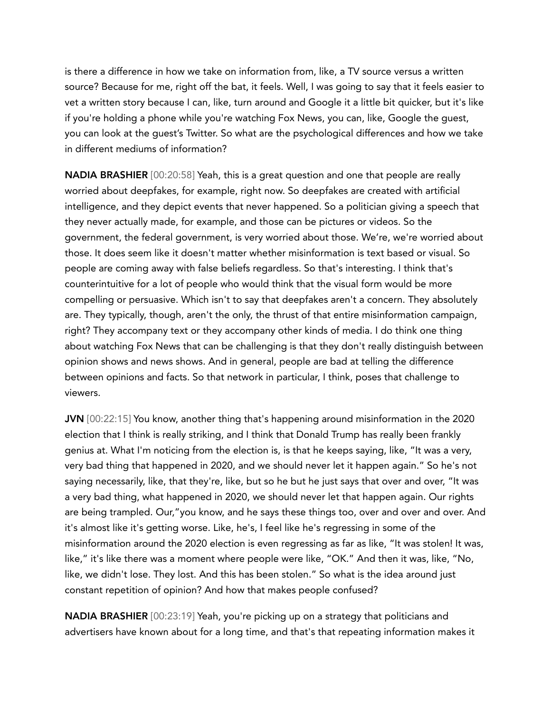is there a difference in how we take on information from, like, a TV source versus a written source? Because for me, right off the bat, it feels. Well, I was going to say that it feels easier to vet a written story because I can, like, turn around and Google it a little bit quicker, but it's like if you're holding a phone while you're watching Fox News, you can, like, Google the guest, you can look at the guest's Twitter. So what are the psychological differences and how we take in different mediums of information?

NADIA BRASHIER [00:20:58] Yeah, this is a great question and one that people are really worried about deepfakes, for example, right now. So deepfakes are created with artificial intelligence, and they depict events that never happened. So a politician giving a speech that they never actually made, for example, and those can be pictures or videos. So the government, the federal government, is very worried about those. We're, we're worried about those. It does seem like it doesn't matter whether misinformation is text based or visual. So people are coming away with false beliefs regardless. So that's interesting. I think that's counterintuitive for a lot of people who would think that the visual form would be more compelling or persuasive. Which isn't to say that deepfakes aren't a concern. They absolutely are. They typically, though, aren't the only, the thrust of that entire misinformation campaign, right? They accompany text or they accompany other kinds of media. I do think one thing about watching Fox News that can be challenging is that they don't really distinguish between opinion shows and news shows. And in general, people are bad at telling the difference between opinions and facts. So that network in particular, I think, poses that challenge to viewers.

JVN [00:22:15] You know, another thing that's happening around misinformation in the 2020 election that I think is really striking, and I think that Donald Trump has really been frankly genius at. What I'm noticing from the election is, is that he keeps saying, like, "It was a very, very bad thing that happened in 2020, and we should never let it happen again." So he's not saying necessarily, like, that they're, like, but so he but he just says that over and over, "It was a very bad thing, what happened in 2020, we should never let that happen again. Our rights are being trampled. Our,"you know, and he says these things too, over and over and over. And it's almost like it's getting worse. Like, he's, I feel like he's regressing in some of the misinformation around the 2020 election is even regressing as far as like, "It was stolen! It was, like," it's like there was a moment where people were like, "OK." And then it was, like, "No, like, we didn't lose. They lost. And this has been stolen." So what is the idea around just constant repetition of opinion? And how that makes people confused?

NADIA BRASHIER [00:23:19] Yeah, you're picking up on a strategy that politicians and advertisers have known about for a long time, and that's that repeating information makes it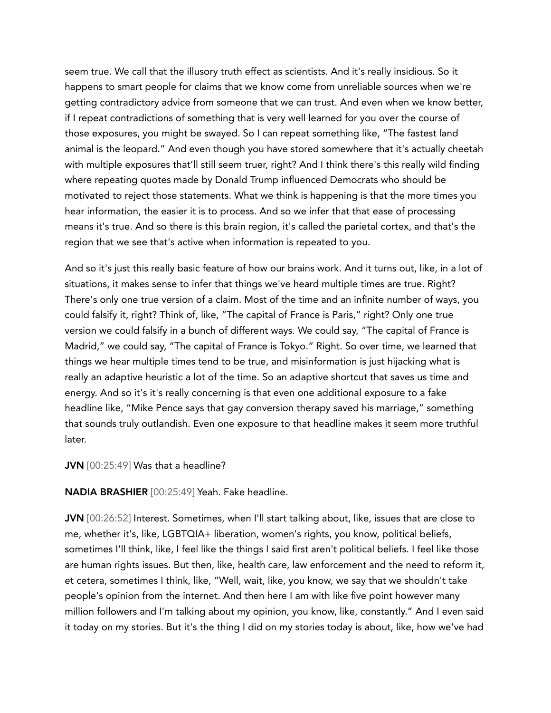seem true. We call that the illusory truth effect as scientists. And it's really insidious. So it happens to smart people for claims that we know come from unreliable sources when we're getting contradictory advice from someone that we can trust. And even when we know better, if I repeat contradictions of something that is very well learned for you over the course of those exposures, you might be swayed. So I can repeat something like, "The fastest land animal is the leopard." And even though you have stored somewhere that it's actually cheetah with multiple exposures that'll still seem truer, right? And I think there's this really wild finding where repeating quotes made by Donald Trump influenced Democrats who should be motivated to reject those statements. What we think is happening is that the more times you hear information, the easier it is to process. And so we infer that that ease of processing means it's true. And so there is this brain region, it's called the parietal cortex, and that's the region that we see that's active when information is repeated to you.

And so it's just this really basic feature of how our brains work. And it turns out, like, in a lot of situations, it makes sense to infer that things we've heard multiple times are true. Right? There's only one true version of a claim. Most of the time and an infinite number of ways, you could falsify it, right? Think of, like, "The capital of France is Paris," right? Only one true version we could falsify in a bunch of different ways. We could say, "The capital of France is Madrid," we could say, "The capital of France is Tokyo." Right. So over time, we learned that things we hear multiple times tend to be true, and misinformation is just hijacking what is really an adaptive heuristic a lot of the time. So an adaptive shortcut that saves us time and energy. And so it's it's really concerning is that even one additional exposure to a fake headline like, "Mike Pence says that gay conversion therapy saved his marriage," something that sounds truly outlandish. Even one exposure to that headline makes it seem more truthful later.

## JVN [00:25:49] Was that a headline?

NADIA BRASHIER [00:25:49] Yeah. Fake headline.

JVN [00:26:52] Interest. Sometimes, when I'll start talking about, like, issues that are close to me, whether it's, like, LGBTQIA+ liberation, women's rights, you know, political beliefs, sometimes I'll think, like, I feel like the things I said first aren't political beliefs. I feel like those are human rights issues. But then, like, health care, law enforcement and the need to reform it, et cetera, sometimes I think, like, "Well, wait, like, you know, we say that we shouldn't take people's opinion from the internet. And then here I am with like five point however many million followers and I'm talking about my opinion, you know, like, constantly." And I even said it today on my stories. But it's the thing I did on my stories today is about, like, how we've had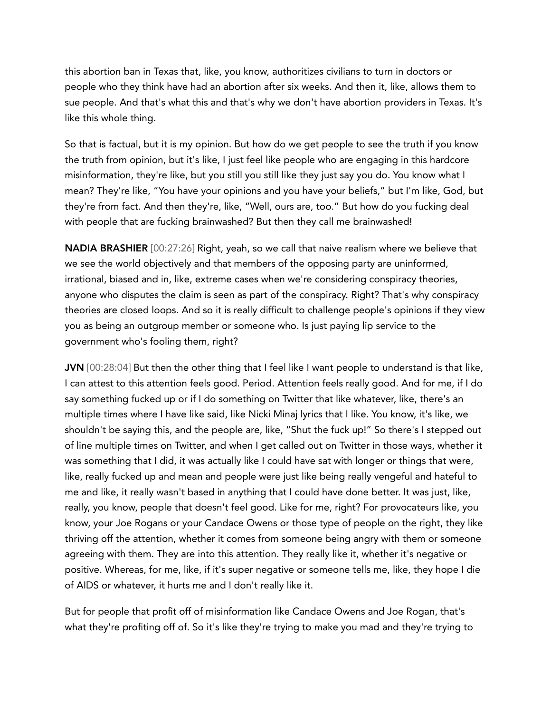this abortion ban in Texas that, like, you know, authoritizes civilians to turn in doctors or people who they think have had an abortion after six weeks. And then it, like, allows them to sue people. And that's what this and that's why we don't have abortion providers in Texas. It's like this whole thing.

So that is factual, but it is my opinion. But how do we get people to see the truth if you know the truth from opinion, but it's like, I just feel like people who are engaging in this hardcore misinformation, they're like, but you still you still like they just say you do. You know what I mean? They're like, "You have your opinions and you have your beliefs," but I'm like, God, but they're from fact. And then they're, like, "Well, ours are, too." But how do you fucking deal with people that are fucking brainwashed? But then they call me brainwashed!

**NADIA BRASHIER** [00:27:26] Right, yeah, so we call that naive realism where we believe that we see the world objectively and that members of the opposing party are uninformed, irrational, biased and in, like, extreme cases when we're considering conspiracy theories, anyone who disputes the claim is seen as part of the conspiracy. Right? That's why conspiracy theories are closed loops. And so it is really difficult to challenge people's opinions if they view you as being an outgroup member or someone who. Is just paying lip service to the government who's fooling them, right?

JVN [00:28:04] But then the other thing that I feel like I want people to understand is that like, I can attest to this attention feels good. Period. Attention feels really good. And for me, if I do say something fucked up or if I do something on Twitter that like whatever, like, there's an multiple times where I have like said, like Nicki Minaj lyrics that I like. You know, it's like, we shouldn't be saying this, and the people are, like, "Shut the fuck up!" So there's I stepped out of line multiple times on Twitter, and when I get called out on Twitter in those ways, whether it was something that I did, it was actually like I could have sat with longer or things that were, like, really fucked up and mean and people were just like being really vengeful and hateful to me and like, it really wasn't based in anything that I could have done better. It was just, like, really, you know, people that doesn't feel good. Like for me, right? For provocateurs like, you know, your Joe Rogans or your Candace Owens or those type of people on the right, they like thriving off the attention, whether it comes from someone being angry with them or someone agreeing with them. They are into this attention. They really like it, whether it's negative or positive. Whereas, for me, like, if it's super negative or someone tells me, like, they hope I die of AIDS or whatever, it hurts me and I don't really like it.

But for people that profit off of misinformation like Candace Owens and Joe Rogan, that's what they're profiting off of. So it's like they're trying to make you mad and they're trying to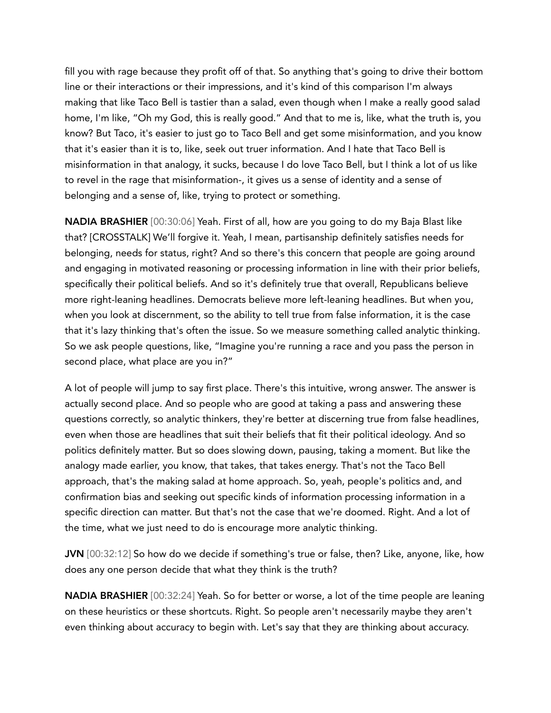fill you with rage because they profit off of that. So anything that's going to drive their bottom line or their interactions or their impressions, and it's kind of this comparison I'm always making that like Taco Bell is tastier than a salad, even though when I make a really good salad home, I'm like, "Oh my God, this is really good." And that to me is, like, what the truth is, you know? But Taco, it's easier to just go to Taco Bell and get some misinformation, and you know that it's easier than it is to, like, seek out truer information. And I hate that Taco Bell is misinformation in that analogy, it sucks, because I do love Taco Bell, but I think a lot of us like to revel in the rage that misinformation-, it gives us a sense of identity and a sense of belonging and a sense of, like, trying to protect or something.

NADIA BRASHIER [00:30:06] Yeah. First of all, how are you going to do my Baja Blast like that? [CROSSTALK] We'll forgive it. Yeah, I mean, partisanship definitely satisfies needs for belonging, needs for status, right? And so there's this concern that people are going around and engaging in motivated reasoning or processing information in line with their prior beliefs, specifically their political beliefs. And so it's definitely true that overall, Republicans believe more right-leaning headlines. Democrats believe more left-leaning headlines. But when you, when you look at discernment, so the ability to tell true from false information, it is the case that it's lazy thinking that's often the issue. So we measure something called analytic thinking. So we ask people questions, like, "Imagine you're running a race and you pass the person in second place, what place are you in?"

A lot of people will jump to say first place. There's this intuitive, wrong answer. The answer is actually second place. And so people who are good at taking a pass and answering these questions correctly, so analytic thinkers, they're better at discerning true from false headlines, even when those are headlines that suit their beliefs that fit their political ideology. And so politics definitely matter. But so does slowing down, pausing, taking a moment. But like the analogy made earlier, you know, that takes, that takes energy. That's not the Taco Bell approach, that's the making salad at home approach. So, yeah, people's politics and, and confirmation bias and seeking out specific kinds of information processing information in a specific direction can matter. But that's not the case that we're doomed. Right. And a lot of the time, what we just need to do is encourage more analytic thinking.

JVN [00:32:12] So how do we decide if something's true or false, then? Like, anyone, like, how does any one person decide that what they think is the truth?

NADIA BRASHIER [00:32:24] Yeah. So for better or worse, a lot of the time people are leaning on these heuristics or these shortcuts. Right. So people aren't necessarily maybe they aren't even thinking about accuracy to begin with. Let's say that they are thinking about accuracy.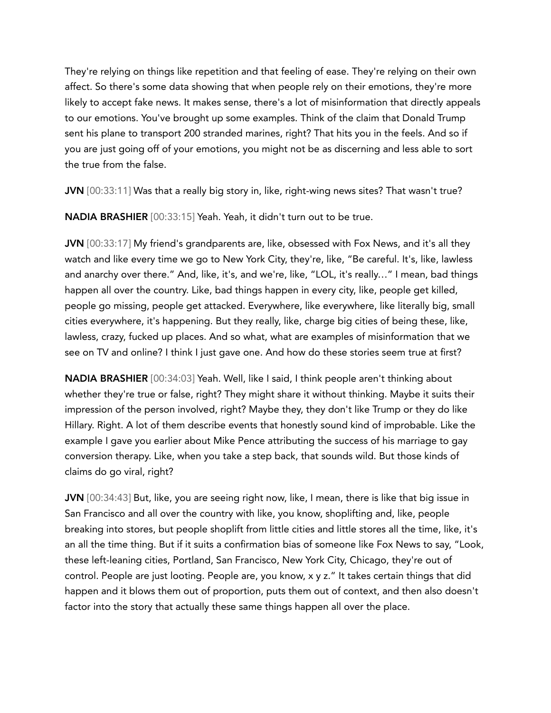They're relying on things like repetition and that feeling of ease. They're relying on their own affect. So there's some data showing that when people rely on their emotions, they're more likely to accept fake news. It makes sense, there's a lot of misinformation that directly appeals to our emotions. You've brought up some examples. Think of the claim that Donald Trump sent his plane to transport 200 stranded marines, right? That hits you in the feels. And so if you are just going off of your emotions, you might not be as discerning and less able to sort the true from the false.

JVN [00:33:11] Was that a really big story in, like, right-wing news sites? That wasn't true?

NADIA BRASHIER [00:33:15] Yeah. Yeah, it didn't turn out to be true.

JVN [00:33:17] My friend's grandparents are, like, obsessed with Fox News, and it's all they watch and like every time we go to New York City, they're, like, "Be careful. It's, like, lawless and anarchy over there." And, like, it's, and we're, like, "LOL, it's really…" I mean, bad things happen all over the country. Like, bad things happen in every city, like, people get killed, people go missing, people get attacked. Everywhere, like everywhere, like literally big, small cities everywhere, it's happening. But they really, like, charge big cities of being these, like, lawless, crazy, fucked up places. And so what, what are examples of misinformation that we see on TV and online? I think I just gave one. And how do these stories seem true at first?

NADIA BRASHIER [00:34:03] Yeah. Well, like I said, I think people aren't thinking about whether they're true or false, right? They might share it without thinking. Maybe it suits their impression of the person involved, right? Maybe they, they don't like Trump or they do like Hillary. Right. A lot of them describe events that honestly sound kind of improbable. Like the example I gave you earlier about Mike Pence attributing the success of his marriage to gay conversion therapy. Like, when you take a step back, that sounds wild. But those kinds of claims do go viral, right?

JVN [00:34:43] But, like, you are seeing right now, like, I mean, there is like that big issue in San Francisco and all over the country with like, you know, shoplifting and, like, people breaking into stores, but people shoplift from little cities and little stores all the time, like, it's an all the time thing. But if it suits a confirmation bias of someone like Fox News to say, "Look, these left-leaning cities, Portland, San Francisco, New York City, Chicago, they're out of control. People are just looting. People are, you know, x y z." It takes certain things that did happen and it blows them out of proportion, puts them out of context, and then also doesn't factor into the story that actually these same things happen all over the place.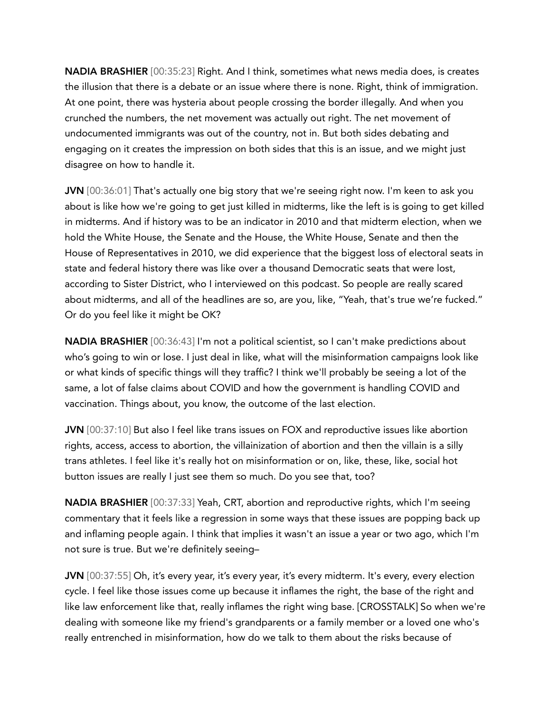NADIA BRASHIER [00:35:23] Right. And I think, sometimes what news media does, is creates the illusion that there is a debate or an issue where there is none. Right, think of immigration. At one point, there was hysteria about people crossing the border illegally. And when you crunched the numbers, the net movement was actually out right. The net movement of undocumented immigrants was out of the country, not in. But both sides debating and engaging on it creates the impression on both sides that this is an issue, and we might just disagree on how to handle it.

JVN [00:36:01] That's actually one big story that we're seeing right now. I'm keen to ask you about is like how we're going to get just killed in midterms, like the left is is going to get killed in midterms. And if history was to be an indicator in 2010 and that midterm election, when we hold the White House, the Senate and the House, the White House, Senate and then the House of Representatives in 2010, we did experience that the biggest loss of electoral seats in state and federal history there was like over a thousand Democratic seats that were lost, according to Sister District, who I interviewed on this podcast. So people are really scared about midterms, and all of the headlines are so, are you, like, "Yeah, that's true we're fucked." Or do you feel like it might be OK?

NADIA BRASHIER [00:36:43] I'm not a political scientist, so I can't make predictions about who's going to win or lose. I just deal in like, what will the misinformation campaigns look like or what kinds of specific things will they traffic? I think we'll probably be seeing a lot of the same, a lot of false claims about COVID and how the government is handling COVID and vaccination. Things about, you know, the outcome of the last election.

JVN [00:37:10] But also I feel like trans issues on FOX and reproductive issues like abortion rights, access, access to abortion, the villainization of abortion and then the villain is a silly trans athletes. I feel like it's really hot on misinformation or on, like, these, like, social hot button issues are really I just see them so much. Do you see that, too?

NADIA BRASHIER [00:37:33] Yeah, CRT, abortion and reproductive rights, which I'm seeing commentary that it feels like a regression in some ways that these issues are popping back up and inflaming people again. I think that implies it wasn't an issue a year or two ago, which I'm not sure is true. But we're definitely seeing–

JVN [00:37:55] Oh, it's every year, it's every year, it's every midterm. It's every, every election cycle. I feel like those issues come up because it inflames the right, the base of the right and like law enforcement like that, really inflames the right wing base. [CROSSTALK] So when we're dealing with someone like my friend's grandparents or a family member or a loved one who's really entrenched in misinformation, how do we talk to them about the risks because of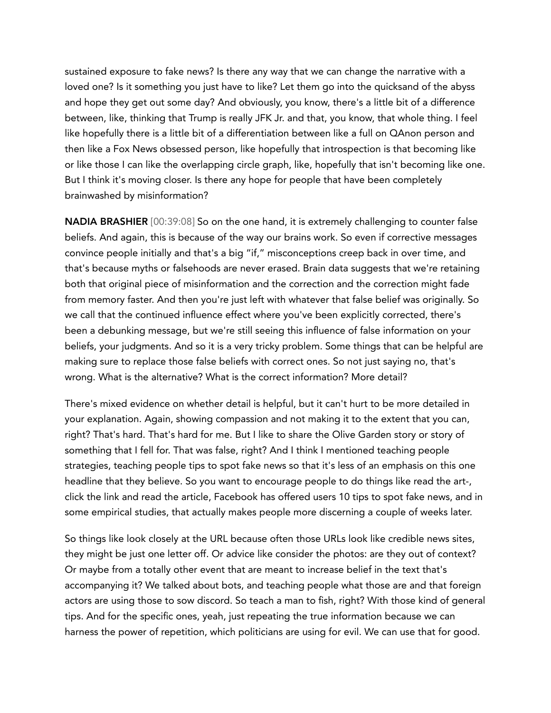sustained exposure to fake news? Is there any way that we can change the narrative with a loved one? Is it something you just have to like? Let them go into the quicksand of the abyss and hope they get out some day? And obviously, you know, there's a little bit of a difference between, like, thinking that Trump is really JFK Jr. and that, you know, that whole thing. I feel like hopefully there is a little bit of a differentiation between like a full on QAnon person and then like a Fox News obsessed person, like hopefully that introspection is that becoming like or like those I can like the overlapping circle graph, like, hopefully that isn't becoming like one. But I think it's moving closer. Is there any hope for people that have been completely brainwashed by misinformation?

NADIA BRASHIER [00:39:08] So on the one hand, it is extremely challenging to counter false beliefs. And again, this is because of the way our brains work. So even if corrective messages convince people initially and that's a big "if," misconceptions creep back in over time, and that's because myths or falsehoods are never erased. Brain data suggests that we're retaining both that original piece of misinformation and the correction and the correction might fade from memory faster. And then you're just left with whatever that false belief was originally. So we call that the continued influence effect where you've been explicitly corrected, there's been a debunking message, but we're still seeing this influence of false information on your beliefs, your judgments. And so it is a very tricky problem. Some things that can be helpful are making sure to replace those false beliefs with correct ones. So not just saying no, that's wrong. What is the alternative? What is the correct information? More detail?

There's mixed evidence on whether detail is helpful, but it can't hurt to be more detailed in your explanation. Again, showing compassion and not making it to the extent that you can, right? That's hard. That's hard for me. But I like to share the Olive Garden story or story of something that I fell for. That was false, right? And I think I mentioned teaching people strategies, teaching people tips to spot fake news so that it's less of an emphasis on this one headline that they believe. So you want to encourage people to do things like read the art-, click the link and read the article, Facebook has offered users 10 tips to spot fake news, and in some empirical studies, that actually makes people more discerning a couple of weeks later.

So things like look closely at the URL because often those URLs look like credible news sites, they might be just one letter off. Or advice like consider the photos: are they out of context? Or maybe from a totally other event that are meant to increase belief in the text that's accompanying it? We talked about bots, and teaching people what those are and that foreign actors are using those to sow discord. So teach a man to fish, right? With those kind of general tips. And for the specific ones, yeah, just repeating the true information because we can harness the power of repetition, which politicians are using for evil. We can use that for good.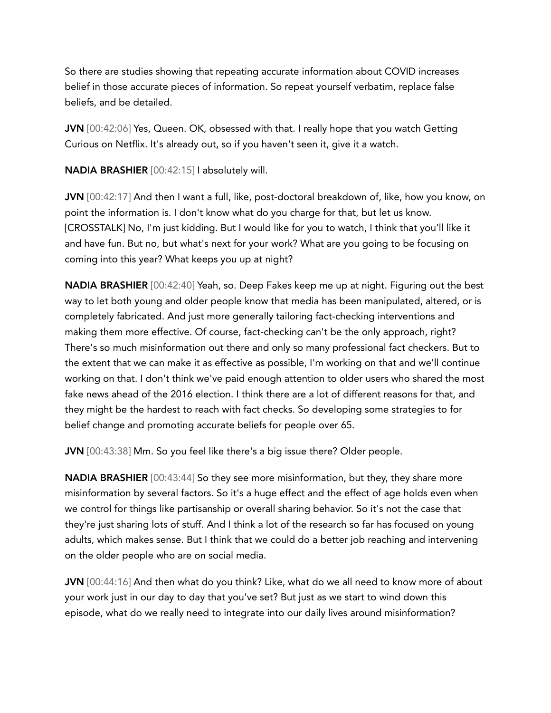So there are studies showing that repeating accurate information about COVID increases belief in those accurate pieces of information. So repeat yourself verbatim, replace false beliefs, and be detailed.

JVN [00:42:06] Yes, Queen. OK, obsessed with that. I really hope that you watch Getting Curious on Netflix. It's already out, so if you haven't seen it, give it a watch.

NADIA BRASHIER [00:42:15] I absolutely will.

JVN [00:42:17] And then I want a full, like, post-doctoral breakdown of, like, how you know, on point the information is. I don't know what do you charge for that, but let us know. [CROSSTALK] No, I'm just kidding. But I would like for you to watch, I think that you'll like it and have fun. But no, but what's next for your work? What are you going to be focusing on coming into this year? What keeps you up at night?

NADIA BRASHIER [00:42:40] Yeah, so. Deep Fakes keep me up at night. Figuring out the best way to let both young and older people know that media has been manipulated, altered, or is completely fabricated. And just more generally tailoring fact-checking interventions and making them more effective. Of course, fact-checking can't be the only approach, right? There's so much misinformation out there and only so many professional fact checkers. But to the extent that we can make it as effective as possible, I'm working on that and we'll continue working on that. I don't think we've paid enough attention to older users who shared the most fake news ahead of the 2016 election. I think there are a lot of different reasons for that, and they might be the hardest to reach with fact checks. So developing some strategies to for belief change and promoting accurate beliefs for people over 65.

JVN [00:43:38] Mm. So you feel like there's a big issue there? Older people.

NADIA BRASHIER [00:43:44] So they see more misinformation, but they, they share more misinformation by several factors. So it's a huge effect and the effect of age holds even when we control for things like partisanship or overall sharing behavior. So it's not the case that they're just sharing lots of stuff. And I think a lot of the research so far has focused on young adults, which makes sense. But I think that we could do a better job reaching and intervening on the older people who are on social media.

JVN [00:44:16] And then what do you think? Like, what do we all need to know more of about your work just in our day to day that you've set? But just as we start to wind down this episode, what do we really need to integrate into our daily lives around misinformation?